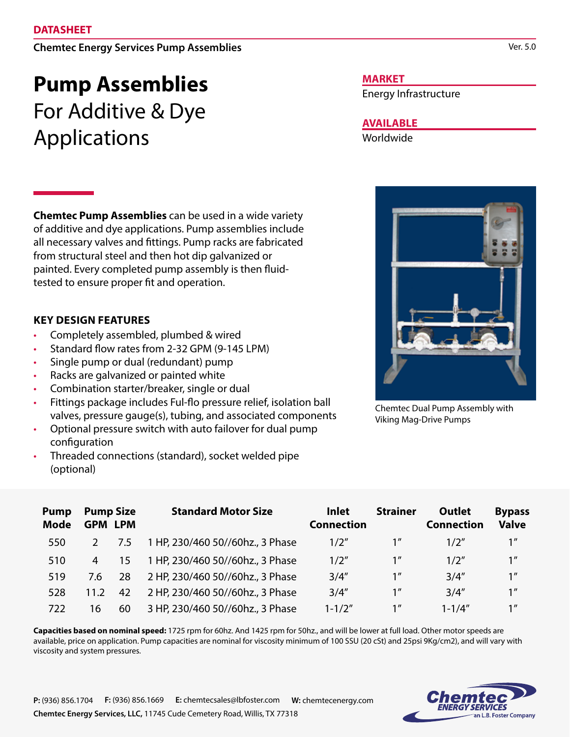# **Chemtec Energy Services Pump Assemblies**

# **Pump Assemblies** For Additive & Dye Applications

**Chemtec Pump Assemblies** can be used in a wide variety of additive and dye applications. Pump assemblies include all necessary valves and fittings. Pump racks are fabricated from structural steel and then hot dip galvanized or painted. Every completed pump assembly is then fluidtested to ensure proper fit and operation.

# **KEY DESIGN FEATURES**

- Completely assembled, plumbed & wired
- Standard flow rates from 2-32 GPM (9-145 LPM)
- Single pump or dual (redundant) pump
- Racks are galvanized or painted white
- Combination starter/breaker, single or dual
- Fittings package includes Ful-flo pressure relief, isolation ball valves, pressure gauge(s), tubing, and associated components
- Optional pressure switch with auto failover for dual pump configuration
- Threaded connections (standard), socket welded pipe (optional)

### **MARKET**

Energy Infrastructure

# **AVAILABLE**

Worldwide



Chemtec Dual Pump Assembly with Viking Mag-Drive Pumps

| <b>Pump</b><br><b>Mode</b> | <b>Pump Size</b><br><b>GPM LPM</b> |     | <b>Standard Motor Size</b>       | <b>Inlet</b><br><b>Connection</b> | <b>Strainer</b> | <b>Outlet</b><br><b>Connection</b> | <b>Bypass</b><br><b>Valve</b> |
|----------------------------|------------------------------------|-----|----------------------------------|-----------------------------------|-----------------|------------------------------------|-------------------------------|
| 550                        |                                    | 7.5 | 1 HP, 230/460 50//60hz., 3 Phase | 1/2"                              | 1 <sup>''</sup> | 1/2''                              | 1 <sup>''</sup>               |
| 510                        | 4                                  | 15  | 1 HP, 230/460 50//60hz., 3 Phase | 1/2"                              | 1 <sup>''</sup> | 1/2''                              | 1 <sup>''</sup>               |
| 519                        | 7.6                                | 28  | 2 HP, 230/460 50//60hz., 3 Phase | 3/4''                             | 1 <sup>''</sup> | 3/4''                              | 1 <sup>''</sup>               |
| 528                        | 11.2                               | 42  | 2 HP, 230/460 50//60hz., 3 Phase | 3/4''                             | 1 <sup>''</sup> | 3/4''                              | 1 <sup>''</sup>               |
| 722                        | 16                                 | 60  | 3 HP, 230/460 50//60hz., 3 Phase | $1 - 1/2"$                        | 1 <sup>''</sup> | $1 - 1/4''$                        | 1 <sup>''</sup>               |

**Capacities based on nominal speed:** 1725 rpm for 60hz. And 1425 rpm for 50hz., and will be lower at full load. Other motor speeds are available, price on application. Pump capacities are nominal for viscosity minimum of 100 SSU (20 cSt) and 25psi 9Kg/cm2), and will vary with viscosity and system pressures.